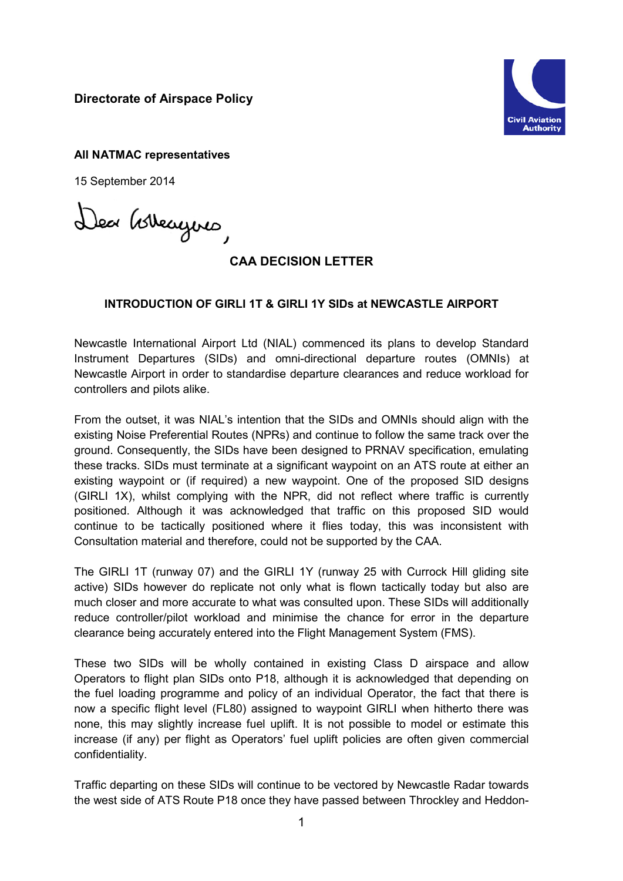**Directorate of Airspace Policy**



**All NATMAC representatives**

15 September 2014

Dea Govergno

## **CAA DECISION LETTER**

## **INTRODUCTION OF GIRLI 1T & GIRLI 1Y SIDs at NEWCASTLE AIRPORT**

Newcastle International Airport Ltd (NIAL) commenced its plans to develop Standard Instrument Departures (SIDs) and omni-directional departure routes (OMNIs) at Newcastle Airport in order to standardise departure clearances and reduce workload for controllers and pilots alike.

From the outset, it was NIAL's intention that the SIDs and OMNIs should align with the existing Noise Preferential Routes (NPRs) and continue to follow the same track over the ground. Consequently, the SIDs have been designed to PRNAV specification, emulating these tracks. SIDs must terminate at a significant waypoint on an ATS route at either an existing waypoint or (if required) a new waypoint. One of the proposed SID designs (GIRLI 1X), whilst complying with the NPR, did not reflect where traffic is currently positioned. Although it was acknowledged that traffic on this proposed SID would continue to be tactically positioned where it flies today, this was inconsistent with Consultation material and therefore, could not be supported by the CAA.

The GIRLI 1T (runway 07) and the GIRLI 1Y (runway 25 with Currock Hill gliding site active) SIDs however do replicate not only what is flown tactically today but also are much closer and more accurate to what was consulted upon. These SIDs will additionally reduce controller/pilot workload and minimise the chance for error in the departure clearance being accurately entered into the Flight Management System (FMS).

These two SIDs will be wholly contained in existing Class D airspace and allow Operators to flight plan SIDs onto P18, although it is acknowledged that depending on the fuel loading programme and policy of an individual Operator, the fact that there is now a specific flight level (FL80) assigned to waypoint GIRLI when hitherto there was none, this may slightly increase fuel uplift. It is not possible to model or estimate this increase (if any) per flight as Operators' fuel uplift policies are often given commercial confidentiality.

Traffic departing on these SIDs will continue to be vectored by Newcastle Radar towards the west side of ATS Route P18 once they have passed between Throckley and Heddon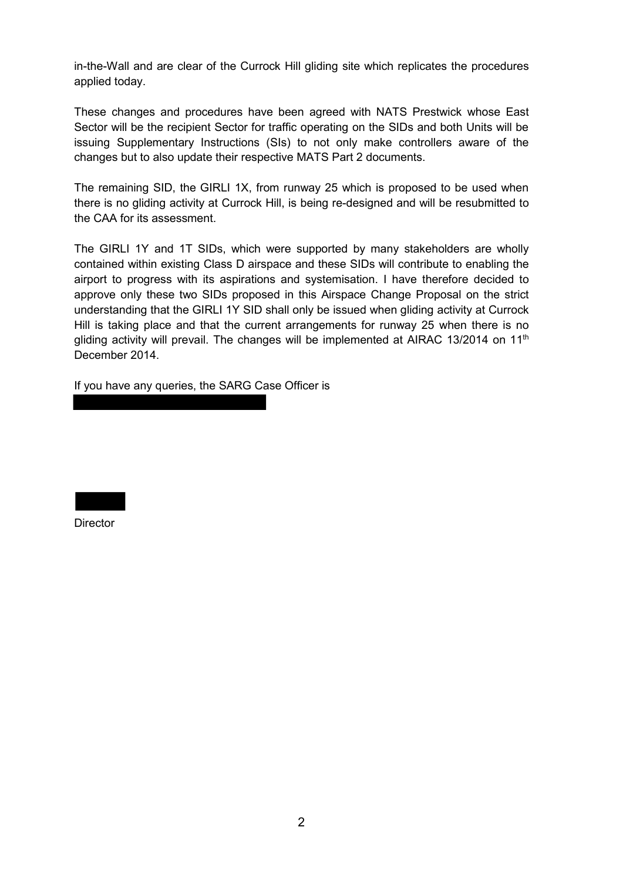in-the-Wall and are clear of the Currock Hill gliding site which replicates the procedures applied today.

These changes and procedures have been agreed with NATS Prestwick whose East Sector will be the recipient Sector for traffic operating on the SIDs and both Units will be issuing Supplementary Instructions (SIs) to not only make controllers aware of the changes but to also update their respective MATS Part 2 documents.

The remaining SID, the GIRLI 1X, from runway 25 which is proposed to be used when there is no gliding activity at Currock Hill, is being re-designed and will be resubmitted to the CAA for its assessment.

The GIRLI 1Y and 1T SIDs, which were supported by many stakeholders are wholly contained within existing Class D airspace and these SIDs will contribute to enabling the airport to progress with its aspirations and systemisation. I have therefore decided to approve only these two SIDs proposed in this Airspace Change Proposal on the strict understanding that the GIRLI 1Y SID shall only be issued when gliding activity at Currock Hill is taking place and that the current arrangements for runway 25 when there is no gliding activity will prevail. The changes will be implemented at AIRAC 13/2014 on  $11<sup>th</sup>$ December 2014.

If you have any queries, the SARG Case Officer is

**Director**